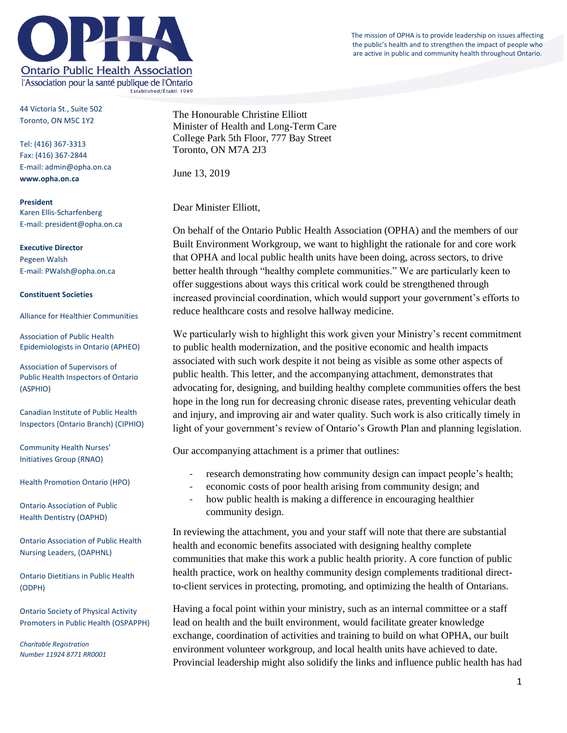The mission of OPHA is to provide leadership on issues affecting the public's health and to strengthen the impact of people who are active in public and community health throughout Ontario.



44 Victoria St., Suite 502 Toronto, ON M5C 1Y2

Tel: (416) 367-3313 Fax: (416) 367-2844 E-mail: admin@opha.on.ca **www.opha.on.ca**

**President** Karen Ellis-Scharfenberg E-mail: president@opha.on.ca

**Executive Director** Pegeen Walsh E-mail: PWalsh@opha.on.ca

#### **Constituent Societies**

Alliance for Healthier Communities

Association of Public Health Epidemiologists in Ontario (APHEO)

Association of Supervisors of Public Health Inspectors of Ontario (ASPHIO)

Canadian Institute of Public Health Inspectors (Ontario Branch) (CIPHIO)

Community Health Nurses' Initiatives Group (RNAO)

Health Promotion Ontario (HPO)

Ontario Association of Public Health Dentistry (OAPHD)

Ontario Association of Public Health Nursing Leaders, (OAPHNL)

Ontario Dietitians in Public Health (ODPH)

Ontario Society of Physical Activity Promoters in Public Health (OSPAPPH)

*Charitable Registration Number 11924 8771 RR0001* The Honourable Christine Elliott Minister of Health and Long-Term Care College Park 5th Floor, 777 Bay Street Toronto, ON M7A 2J3

June 13, 2019

Dear Minister Elliott,

On behalf of the Ontario Public Health Association (OPHA) and the members of our Built Environment Workgroup, we want to highlight the rationale for and core work that OPHA and local public health units have been doing, across sectors, to drive better health through "healthy complete communities." We are particularly keen to offer suggestions about ways this critical work could be strengthened through increased provincial coordination, which would support your government's efforts to reduce healthcare costs and resolve hallway medicine.

We particularly wish to highlight this work given your Ministry's recent commitment to public health modernization, and the positive economic and health impacts associated with such work despite it not being as visible as some other aspects of public health. This letter, and the accompanying attachment, demonstrates that advocating for, designing, and building healthy complete communities offers the best hope in the long run for decreasing chronic disease rates, preventing vehicular death and injury, and improving air and water quality. Such work is also critically timely in light of your government's review of Ontario's Growth Plan and planning legislation.

Our accompanying attachment is a primer that outlines:

- research demonstrating how community design can impact people's health;
- economic costs of poor health arising from community design; and
- how public health is making a difference in encouraging healthier community design.

In reviewing the attachment, you and your staff will note that there are substantial health and economic benefits associated with designing healthy complete communities that make this work a public health priority. A core function of public health practice, work on healthy community design complements traditional directto-client services in protecting, promoting, and optimizing the health of Ontarians.

Having a focal point within your ministry, such as an internal committee or a staff lead on health and the built environment, would facilitate greater knowledge exchange, coordination of activities and training to build on what OPHA, our built environment volunteer workgroup, and local health units have achieved to date. Provincial leadership might also solidify the links and influence public health has had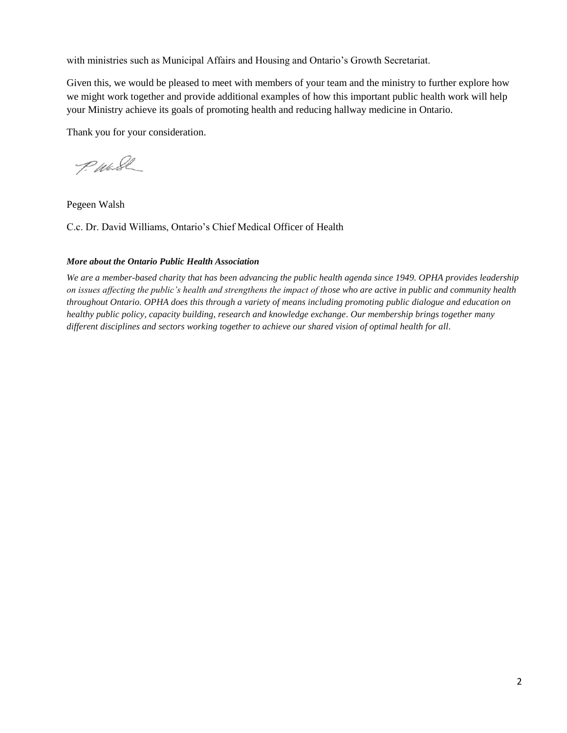with ministries such as Municipal Affairs and Housing and Ontario's Growth Secretariat.

Given this, we would be pleased to meet with members of your team and the ministry to further explore how we might work together and provide additional examples of how this important public health work will help your Ministry achieve its goals of promoting health and reducing hallway medicine in Ontario.

Thank you for your consideration.

P. Wash

Pegeen Walsh

C.c. Dr. David Williams, Ontario's Chief Medical Officer of Health

### *More about the Ontario Public Health Association*

*We are a member-based charity that has been advancing the public health agenda since 1949. OPHA provides leadership on issues affecting the public's health and strengthens the impact of those who are active in public and community health throughout Ontario. OPHA does this through a variety of means including promoting public dialogue and education on healthy public policy, capacity building, research and knowledge exchange. Our membership brings together many different disciplines and sectors working together to achieve our shared vision of optimal health for all.*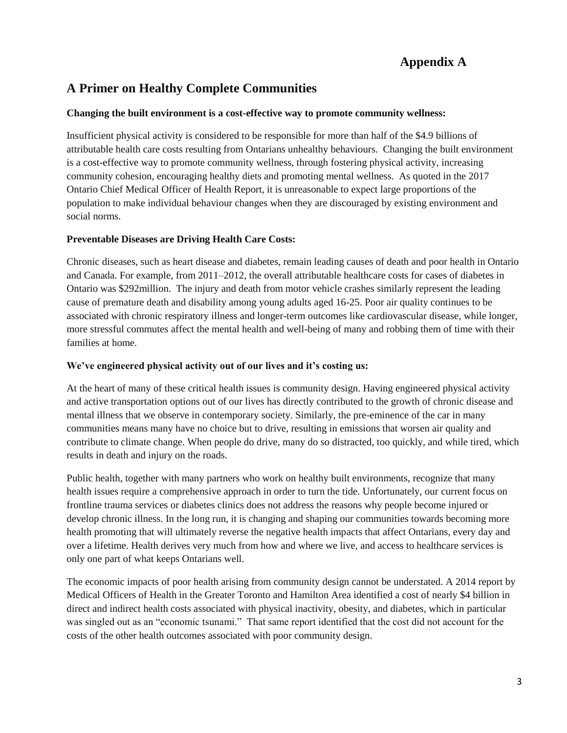# **Appendix A**

## **A Primer on Healthy Complete Communities**

### **Changing the built environment is a cost-effective way to promote community wellness:**

Insufficient physical activity is considered to be responsible for more than half of the \$4.9 billions of attributable health care costs resulting from Ontarians unhealthy behaviours. Changing the built environment is a cost-effective way to promote community wellness, through fostering physical activity, increasing community cohesion, encouraging healthy diets and promoting mental wellness. As quoted in the 2017 Ontario Chief Medical Officer of Health Report, it is unreasonable to expect large proportions of the population to make individual behaviour changes when they are discouraged by existing environment and social norms.

### **Preventable Diseases are Driving Health Care Costs:**

Chronic diseases, such as heart disease and diabetes, remain leading causes of death and poor health in Ontario and Canada. For example, from 2011–2012, the overall attributable healthcare costs for cases of diabetes in Ontario was \$292million. The injury and death from motor vehicle crashes similarly represent the leading cause of premature death and disability among young adults aged 16-25. Poor air quality continues to be associated with chronic respiratory illness and longer-term outcomes like cardiovascular disease, while longer, more stressful commutes affect the mental health and well-being of many and robbing them of time with their families at home.

### **We've engineered physical activity out of our lives and it's costing us:**

At the heart of many of these critical health issues is community design. Having engineered physical activity and active transportation options out of our lives has directly contributed to the growth of chronic disease and mental illness that we observe in contemporary society. Similarly, the pre-eminence of the car in many communities means many have no choice but to drive, resulting in emissions that worsen air quality and contribute to climate change. When people do drive, many do so distracted, too quickly, and while tired, which results in death and injury on the roads.

Public health, together with many partners who work on healthy built environments, recognize that many health issues require a comprehensive approach in order to turn the tide. Unfortunately, our current focus on frontline trauma services or diabetes clinics does not address the reasons why people become injured or develop chronic illness. In the long run, it is changing and shaping our communities towards becoming more health promoting that will ultimately reverse the negative health impacts that affect Ontarians, every day and over a lifetime. Health derives very much from how and where we live, and access to healthcare services is only one part of what keeps Ontarians well.

The economic impacts of poor health arising from community design cannot be understated. A 2014 report by Medical Officers of Health in the Greater Toronto and Hamilton Area identified a cost of nearly \$4 billion in direct and indirect health costs associated with physical inactivity, obesity, and diabetes, which in particular was singled out as an "economic tsunami." That same report identified that the cost did not account for the costs of the other health outcomes associated with poor community design.